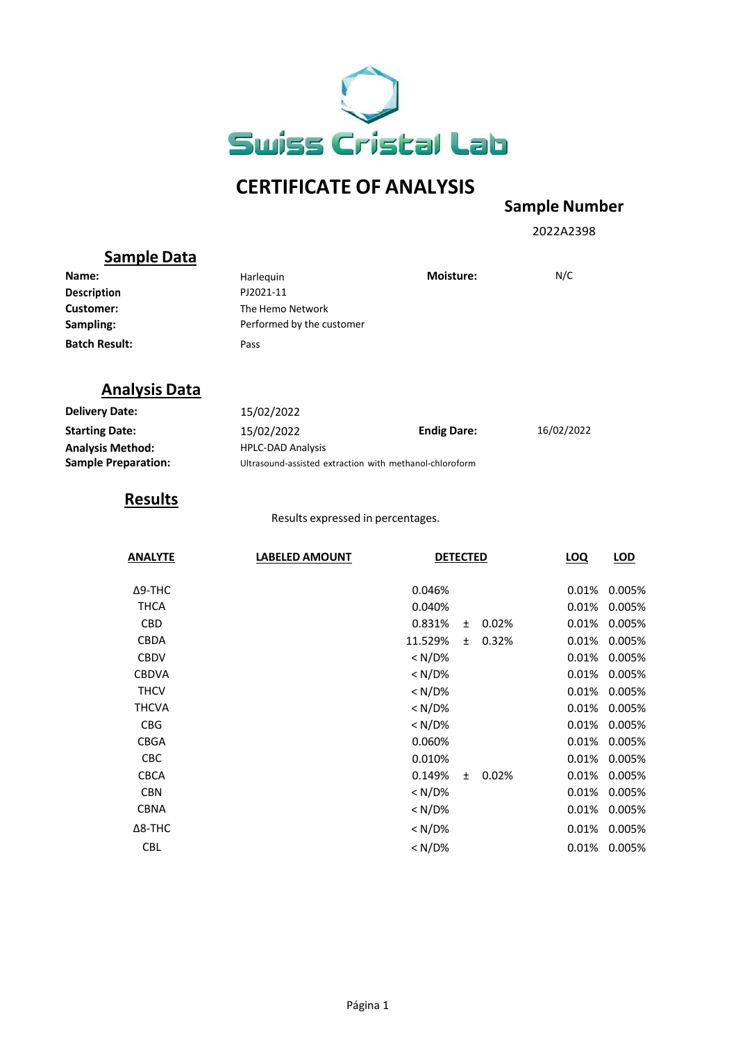

# **CERTIFICATE OF ANALYSIS**

## **Sample Number**

2022A2398

## **Sample Data**

| Name:                | Harleguin                 | <b>Moisture:</b> | N/C |
|----------------------|---------------------------|------------------|-----|
| <b>Description</b>   | PJ2021-11                 |                  |     |
| Customer:            | The Hemo Network          |                  |     |
| Sampling:            | Performed by the customer |                  |     |
| <b>Batch Result:</b> | Pass                      |                  |     |

## **Analysis Data**

| <b>Delivery Date:</b>      | 15/02/2022                                              |                    |            |
|----------------------------|---------------------------------------------------------|--------------------|------------|
| <b>Starting Date:</b>      | 15/02/2022                                              | <b>Endig Dare:</b> | 16/02/2022 |
| <b>Analysis Method:</b>    | <b>HPLC-DAD Analysis</b>                                |                    |            |
| <b>Sample Preparation:</b> | Ultrasound-assisted extraction with methanol-chloroform |                    |            |

## **Results**

Results expressed in percentages.

| <b>ANALYTE</b> | <b>LABELED AMOUNT</b> | <b>DETECTED</b>     |       | <b>LOQ</b> | LOD    |
|----------------|-----------------------|---------------------|-------|------------|--------|
| $\Delta$ 9-THC |                       | 0.046%              |       | 0.01%      | 0.005% |
| THCA           |                       | 0.040%              |       | 0.01%      | 0.005% |
| <b>CBD</b>     |                       | 0.831%<br>$\ddot{}$ | 0.02% | 0.01%      | 0.005% |
| <b>CBDA</b>    | 11.529%               | $+$                 | 0.32% | 0.01%      | 0.005% |
| <b>CBDV</b>    |                       | < N/D%              |       | 0.01%      | 0.005% |
| <b>CBDVA</b>   |                       | $< N/D\%$           |       | 0.01%      | 0.005% |
| <b>THCV</b>    |                       | $< N/D\%$           |       | 0.01%      | 0.005% |
| <b>THCVA</b>   |                       | $< N/D\%$           |       | 0.01%      | 0.005% |
| <b>CBG</b>     |                       | $< N/D\%$           |       | 0.01%      | 0.005% |
| <b>CBGA</b>    |                       | 0.060%              |       | 0.01%      | 0.005% |
| <b>CBC</b>     |                       | 0.010%              |       | 0.01%      | 0.005% |
| <b>CBCA</b>    |                       | 0.149%<br>$+$       | 0.02% | 0.01%      | 0.005% |
| <b>CBN</b>     |                       | $< N/D\%$           |       | 0.01%      | 0.005% |
| <b>CBNA</b>    |                       | $< N/D\%$           |       | 0.01%      | 0.005% |
| $\Delta$ 8-THC |                       | $< N/D\%$           |       | 0.01%      | 0.005% |
| <b>CBL</b>     |                       | $< N/D\%$           |       | 0.01%      | 0.005% |